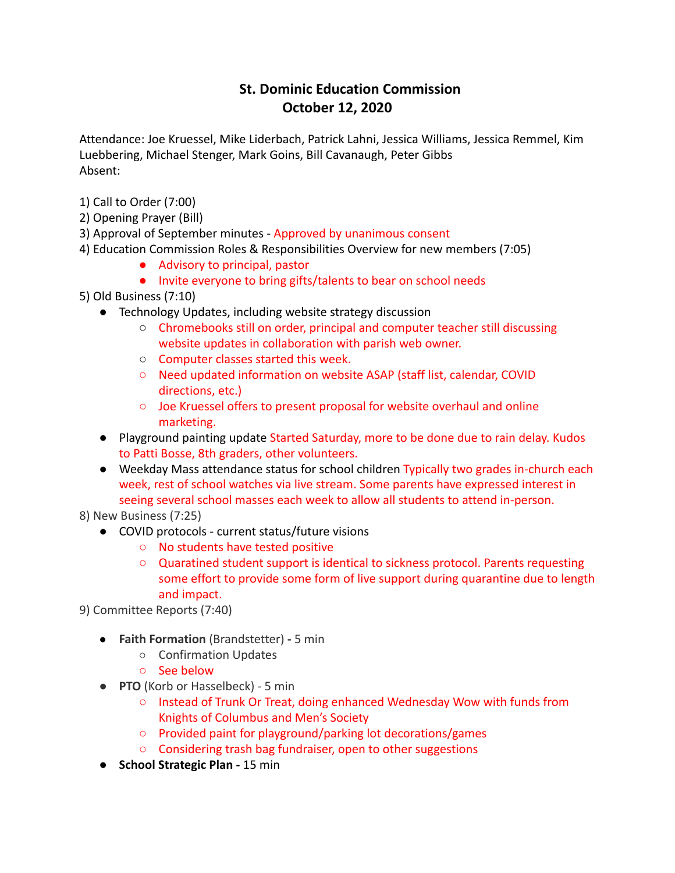## **St. Dominic Education Commission October 12, 2020**

Attendance: Joe Kruessel, Mike Liderbach, Patrick Lahni, Jessica Williams, Jessica Remmel, Kim Luebbering, Michael Stenger, Mark Goins, Bill Cavanaugh, Peter Gibbs Absent:

- 1) Call to Order (7:00)
- 2) Opening Prayer (Bill)
- 3) Approval of September minutes Approved by unanimous consent
- 4) Education Commission Roles & Responsibilities Overview for new members (7:05)
	- Advisory to principal, pastor
	- Invite everyone to bring gifts/talents to bear on school needs
- 5) Old Business (7:10)
	- Technology Updates, including website strategy discussion
		- Chromebooks still on order, principal and computer teacher still discussing website updates in collaboration with parish web owner.
		- Computer classes started this week.
		- Need updated information on website ASAP (staff list, calendar, COVID directions, etc.)
		- Joe Kruessel offers to present proposal for website overhaul and online marketing.
	- Playground painting update Started Saturday, more to be done due to rain delay. Kudos to Patti Bosse, 8th graders, other volunteers.
	- Weekday Mass attendance status for school children Typically two grades in-church each week, rest of school watches via live stream. Some parents have expressed interest in seeing several school masses each week to allow all students to attend in-person.

8) New Business (7:25)

- COVID protocols current status/future visions
	- No students have tested positive
	- Quaratined student support is identical to sickness protocol. Parents requesting some effort to provide some form of live support during quarantine due to length and impact.

9) Committee Reports (7:40)

- **Faith Formation** (Brandstetter) **-** 5 min
	- Confirmation Updates
	- See below
- **PTO** (Korb or Hasselbeck) 5 min
	- Instead of Trunk Or Treat, doing enhanced Wednesday Wow with funds from Knights of Columbus and Men's Society
	- Provided paint for playground/parking lot decorations/games
	- Considering trash bag fundraiser, open to other suggestions
- **School Strategic Plan -** 15 min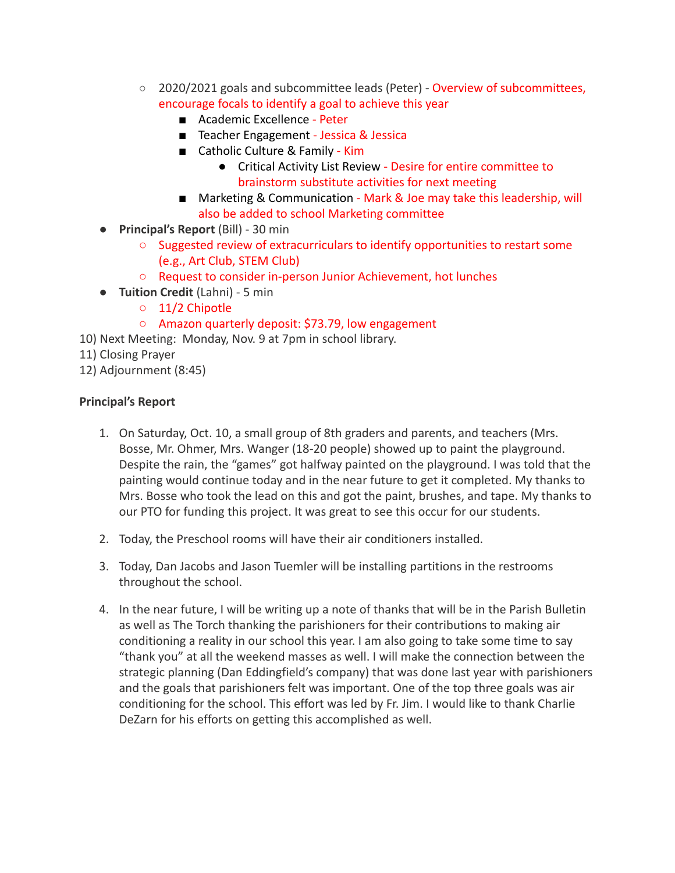- 2020/2021 goals and subcommittee leads (Peter) Overview of subcommittees, encourage focals to identify a goal to achieve this year
	- Academic Excellence Peter
	- Teacher Engagement Jessica & Jessica
	- Catholic Culture & Family Kim
		- Critical Activity List Review Desire for entire committee to brainstorm substitute activities for next meeting
	- Marketing & Communication Mark & Joe may take this leadership, will also be added to school Marketing committee
- **Principal's Report** (Bill) 30 min
	- Suggested review of extracurriculars to identify opportunities to restart some (e.g., Art Club, STEM Club)
	- Request to consider in-person Junior Achievement, hot lunches
- **Tuition Credit** (Lahni) 5 min
	- 11/2 Chipotle
	- Amazon quarterly deposit: \$73.79, low engagement
- 10) Next Meeting: Monday, Nov. 9 at 7pm in school library.
- 11) Closing Prayer

12) Adjournment (8:45)

## **Principal's Report**

- 1. On Saturday, Oct. 10, a small group of 8th graders and parents, and teachers (Mrs. Bosse, Mr. Ohmer, Mrs. Wanger (18-20 people) showed up to paint the playground. Despite the rain, the "games" got halfway painted on the playground. I was told that the painting would continue today and in the near future to get it completed. My thanks to Mrs. Bosse who took the lead on this and got the paint, brushes, and tape. My thanks to our PTO for funding this project. It was great to see this occur for our students.
- 2. Today, the Preschool rooms will have their air conditioners installed.
- 3. Today, Dan Jacobs and Jason Tuemler will be installing partitions in the restrooms throughout the school.
- 4. In the near future, I will be writing up a note of thanks that will be in the Parish Bulletin as well as The Torch thanking the parishioners for their contributions to making air conditioning a reality in our school this year. I am also going to take some time to say "thank you" at all the weekend masses as well. I will make the connection between the strategic planning (Dan Eddingfield's company) that was done last year with parishioners and the goals that parishioners felt was important. One of the top three goals was air conditioning for the school. This effort was led by Fr. Jim. I would like to thank Charlie DeZarn for his efforts on getting this accomplished as well.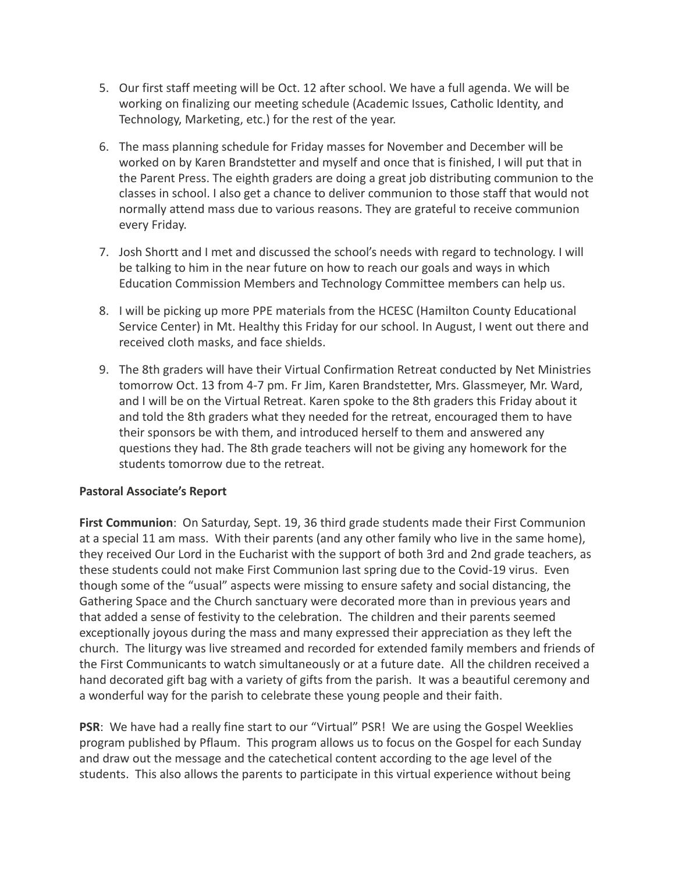- 5. Our first staff meeting will be Oct. 12 after school. We have a full agenda. We will be working on finalizing our meeting schedule (Academic Issues, Catholic Identity, and Technology, Marketing, etc.) for the rest of the year.
- 6. The mass planning schedule for Friday masses for November and December will be worked on by Karen Brandstetter and myself and once that is finished, I will put that in the Parent Press. The eighth graders are doing a great job distributing communion to the classes in school. I also get a chance to deliver communion to those staff that would not normally attend mass due to various reasons. They are grateful to receive communion every Friday.
- 7. Josh Shortt and I met and discussed the school's needs with regard to technology. I will be talking to him in the near future on how to reach our goals and ways in which Education Commission Members and Technology Committee members can help us.
- 8. I will be picking up more PPE materials from the HCESC (Hamilton County Educational Service Center) in Mt. Healthy this Friday for our school. In August, I went out there and received cloth masks, and face shields.
- 9. The 8th graders will have their Virtual Confirmation Retreat conducted by Net Ministries tomorrow Oct. 13 from 4-7 pm. Fr Jim, Karen Brandstetter, Mrs. Glassmeyer, Mr. Ward, and I will be on the Virtual Retreat. Karen spoke to the 8th graders this Friday about it and told the 8th graders what they needed for the retreat, encouraged them to have their sponsors be with them, and introduced herself to them and answered any questions they had. The 8th grade teachers will not be giving any homework for the students tomorrow due to the retreat.

## **Pastoral Associate's Report**

**First Communion**: On Saturday, Sept. 19, 36 third grade students made their First Communion at a special 11 am mass. With their parents (and any other family who live in the same home), they received Our Lord in the Eucharist with the support of both 3rd and 2nd grade teachers, as these students could not make First Communion last spring due to the Covid-19 virus. Even though some of the "usual" aspects were missing to ensure safety and social distancing, the Gathering Space and the Church sanctuary were decorated more than in previous years and that added a sense of festivity to the celebration. The children and their parents seemed exceptionally joyous during the mass and many expressed their appreciation as they left the church. The liturgy was live streamed and recorded for extended family members and friends of the First Communicants to watch simultaneously or at a future date. All the children received a hand decorated gift bag with a variety of gifts from the parish. It was a beautiful ceremony and a wonderful way for the parish to celebrate these young people and their faith.

**PSR**: We have had a really fine start to our "Virtual" PSR! We are using the Gospel Weeklies program published by Pflaum. This program allows us to focus on the Gospel for each Sunday and draw out the message and the catechetical content according to the age level of the students. This also allows the parents to participate in this virtual experience without being